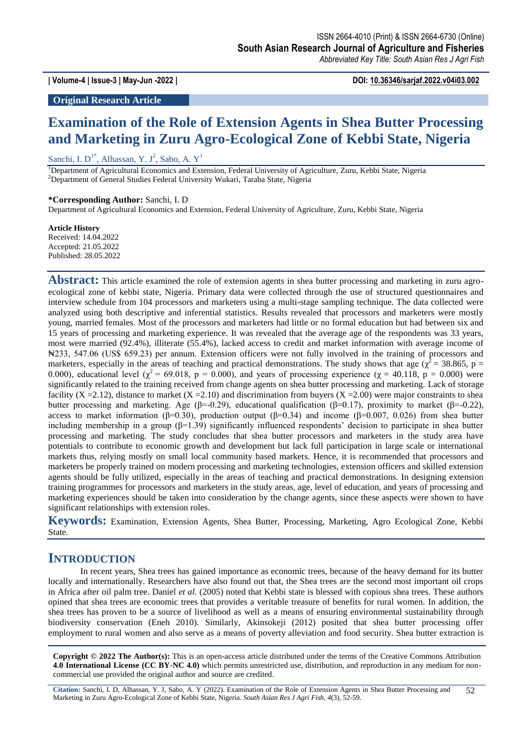**| Volume-4 | Issue-3 | May-Jun -2022 | DOI: 10.36346/sarjaf.2022.v04i03.002**

### **Original Research Article**

# **Examination of the Role of Extension Agents in Shea Butter Processing and Marketing in Zuru Agro-Ecological Zone of Kebbi State, Nigeria**

Sanchi, I.  $D^{1*}$ , Alhassan, Y. J<sup>2</sup>, Sabo, A. Y<sup>1</sup>

<sup>1</sup>Department of Agricultural Economics and Extension, Federal University of Agriculture, Zuru, Kebbi State, Nigeria <sup>2</sup>Department of General Studies Federal University Wukari, Taraba State, Nigeria

#### **\*Corresponding Author:** Sanchi, I. D

Department of Agricultural Economics and Extension, Federal University of Agriculture, Zuru, Kebbi State, Nigeria

#### **Article History**

Received: 14.04.2022 Accepted: 21.05.2022 Published: 28.05.2022

**Abstract:** This article examined the role of extension agents in shea butter processing and marketing in zuru agroecological zone of kebbi state, Nigeria. Primary data were collected through the use of structured questionnaires and interview schedule from 104 processors and marketers using a multi-stage sampling technique. The data collected were analyzed using both descriptive and inferential statistics. Results revealed that processors and marketers were mostly young, married females. Most of the processors and marketers had little or no formal education but had between six and 15 years of processing and marketing experience. It was revealed that the average age of the respondents was 33 years, most were married (92.4%), illiterate (55.4%), lacked access to credit and market information with average income of ₦233, 547.06 (US\$ 659.23) per annum. Extension officers were not fully involved in the training of processors and marketers, especially in the areas of teaching and practical demonstrations. The study shows that age ( $\chi^2$  = 38.865, p = 0.000), educational level ( $\chi^2$  = 69.018, p = 0.000), and years of processing experience ( $\chi$  = 40.118, p = 0.000) were significantly related to the training received from change agents on shea butter processing and marketing. Lack of storage facility  $(X = 2.12)$ , distance to market  $(X = 2.10)$  and discrimination from buyers  $(X = 2.00)$  were major constraints to shea butter processing and marketing. Age ( $\beta$ =-0.29), educational qualification ( $\beta$ =0.17), proximity to market ( $\beta$ =-0.22), access to market information (β=0.30), production output (β=0.34) and income (β=0.007, 0.026) from shea butter including membership in a group  $(\beta=1.39)$  significantly influenced respondents' decision to participate in shea butter processing and marketing. The study concludes that shea butter processors and marketers in the study area have potentials to contribute to economic growth and development but lack full participation in large scale or international markets thus, relying mostly on small local community based markets. Hence, it is recommended that processors and marketers be properly trained on modern processing and marketing technologies, extension officers and skilled extension agents should be fully utilized, especially in the areas of teaching and practical demonstrations. In designing extension training programmes for processors and marketers in the study areas, age, level of education, and years of processing and marketing experiences should be taken into consideration by the change agents, since these aspects were shown to have significant relationships with extension roles.

**Keywords:** Examination, Extension Agents, Shea Butter, Processing, Marketing, Agro Ecological Zone, Kebbi State.

### **INTRODUCTION**

In recent years, Shea trees has gained importance as economic trees, because of the heavy demand for its butter locally and internationally. Researchers have also found out that, the Shea trees are the second most important oil crops in Africa after oil palm tree. Daniel *et al.* (2005) noted that Kebbi state is blessed with copious shea trees. These authors opined that shea trees are economic trees that provides a veritable treasure of benefits for rural women. In addition, the shea trees has proven to be a source of livelihood as well as a means of ensuring environmental sustainability through biodiversity conservation (Eneh 2010). Similarly, Akinsokeji (2012) posited that shea butter processing offer employment to rural women and also serve as a means of poverty alleviation and food security. Shea butter extraction is

**Copyright © 2022 The Author(s):** This is an open-access article distributed under the terms of the Creative Commons Attribution **4.0 International License (CC BY-NC 4.0)** which permits unrestricted use, distribution, and reproduction in any medium for noncommercial use provided the original author and source are credited.

**Citation:** Sanchi, I. D, Alhassan, Y. J, Sabo, A. Y (2022). Examination of the Role of Extension Agents in Shea Butter Processing and Marketing in Zuru Agro-Ecological Zone of Kebbi State, Nigeria. *South Asian Res J Agri Fish, 4*(3), 52-59.  $\overline{52}$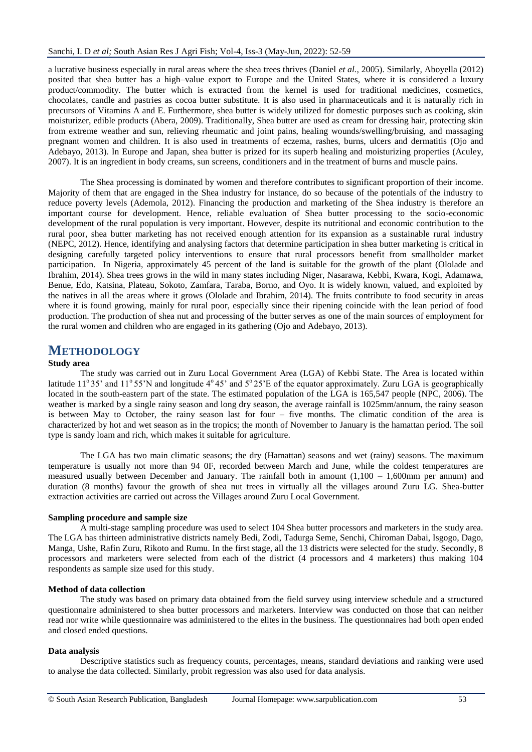a lucrative business especially in rural areas where the shea trees thrives (Daniel *et al.,* 2005). Similarly, Aboyella (2012) posited that shea butter has a high–value export to Europe and the United States, where it is considered a luxury product/commodity. The butter which is extracted from the kernel is used for traditional medicines, cosmetics, chocolates, candle and pastries as cocoa butter substitute. It is also used in pharmaceuticals and it is naturally rich in precursors of Vitamins A and E. Furthermore, shea butter is widely utilized for domestic purposes such as cooking, skin moisturizer, edible products (Abera, 2009). Traditionally, Shea butter are used as cream for dressing hair, protecting skin from extreme weather and sun, relieving rheumatic and joint pains, healing wounds/swelling/bruising, and massaging pregnant women and children. It is also used in treatments of eczema, rashes, burns, ulcers and dermatitis (Ojo and Adebayo, 2013). In Europe and Japan, shea butter is prized for its superb healing and moisturizing properties (Aculey, 2007). It is an ingredient in body creams, sun screens, conditioners and in the treatment of burns and muscle pains.

The Shea processing is dominated by women and therefore contributes to significant proportion of their income. Majority of them that are engaged in the Shea industry for instance, do so because of the potentials of the industry to reduce poverty levels (Ademola, 2012). Financing the production and marketing of the Shea industry is therefore an important course for development. Hence, reliable evaluation of Shea butter processing to the socio-economic development of the rural population is very important. However, despite its nutritional and economic contribution to the rural poor, shea butter marketing has not received enough attention for its expansion as a sustainable rural industry (NEPC, 2012). Hence, identifying and analysing factors that determine participation in shea butter marketing is critical in designing carefully targeted policy interventions to ensure that rural processors benefit from smallholder market participation. In Nigeria, approximately 45 percent of the land is suitable for the growth of the plant (Ololade and Ibrahim, 2014). Shea trees grows in the wild in many states including Niger, Nasarawa, Kebbi, Kwara, Kogi, Adamawa, Benue, Edo, Katsina, Plateau, Sokoto, Zamfara, Taraba, Borno, and Oyo. It is widely known, valued, and exploited by the natives in all the areas where it grows (Ololade and Ibrahim, 2014). The fruits contribute to food security in areas where it is found growing, mainly for rural poor, especially since their ripening coincide with the lean period of food production. The production of shea nut and processing of the butter serves as one of the main sources of employment for the rural women and children who are engaged in its gathering (Ojo and Adebayo, 2013).

## **METHODOLOGY**

### **Study area**

The study was carried out in Zuru Local Government Area (LGA) of Kebbi State. The Area is located within latitude 11°35' and 11°55'N and longitude  $4^{\circ}45'$  and  $5^{\circ}25'$ E of the equator approximately. Zuru LGA is geographically located in the south-eastern part of the state. The estimated population of the LGA is 165,547 people (NPC, 2006). The weather is marked by a single rainy season and long dry season, the average rainfall is 1025mm/annum, the rainy season is between May to October, the rainy season last for four – five months. The climatic condition of the area is characterized by hot and wet season as in the tropics; the month of November to January is the hamattan period. The soil type is sandy loam and rich, which makes it suitable for agriculture.

The LGA has two main climatic seasons; the dry (Hamattan) seasons and wet (rainy) seasons. The maximum temperature is usually not more than 94 0F, recorded between March and June, while the coldest temperatures are measured usually between December and January. The rainfall both in amount (1,100 – 1,600mm per annum) and duration (8 months) favour the growth of shea nut trees in virtually all the villages around Zuru LG. Shea-butter extraction activities are carried out across the Villages around Zuru Local Government.

### **Sampling procedure and sample size**

A multi-stage sampling procedure was used to select 104 Shea butter processors and marketers in the study area. The LGA has thirteen administrative districts namely Bedi, Zodi, Tadurga Seme, Senchi, Chiroman Dabai, Isgogo, Dago, Manga, Ushe, Rafin Zuru, Rikoto and Rumu. In the first stage, all the 13 districts were selected for the study. Secondly, 8 processors and marketers were selected from each of the district (4 processors and 4 marketers) thus making 104 respondents as sample size used for this study.

#### **Method of data collection**

The study was based on primary data obtained from the field survey using interview schedule and a structured questionnaire administered to shea butter processors and marketers. Interview was conducted on those that can neither read nor write while questionnaire was administered to the elites in the business. The questionnaires had both open ended and closed ended questions.

#### **Data analysis**

Descriptive statistics such as frequency counts, percentages, means, standard deviations and ranking were used to analyse the data collected. Similarly, probit regression was also used for data analysis.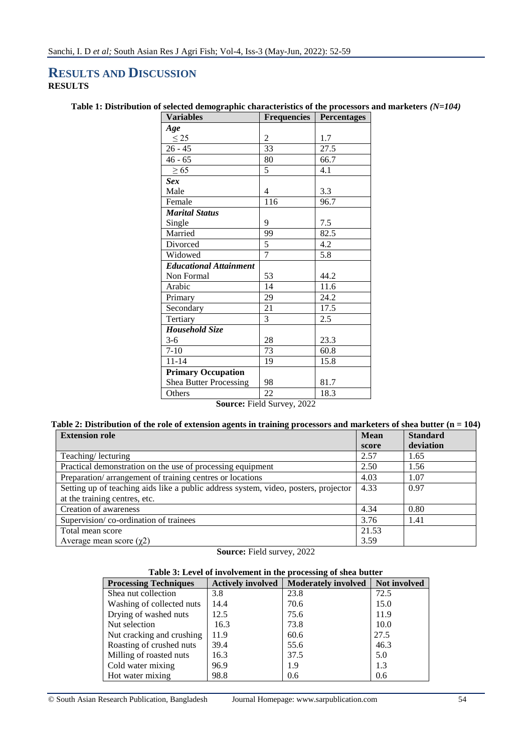## **RESULTS AND DISCUSSION RESULTS**

### **Table 1: Distribution of selected demographic characteristics of the processors and marketers** *(N=104)*

| <b>Variables</b>              | <b>Frequencies</b>         | <b>Percentages</b> |
|-------------------------------|----------------------------|--------------------|
| Age                           |                            |                    |
| $\leq$ 25                     | $\overline{c}$             | 1.7                |
| $26 - 45$                     | 33                         | 27.5               |
| $46 - 65$                     | 80                         | 66.7               |
| $\geq 65$                     | 5                          | 4.1                |
| <b>Sex</b>                    |                            |                    |
| Male                          | $\overline{4}$             | 3.3                |
| Female                        | 116                        | 96.7               |
| <b>Marital Status</b>         |                            |                    |
| Single                        | 9                          | 7.5                |
| Married                       | 99                         | 82.5               |
| Divorced                      | 5                          | 4.2                |
| Widowed                       | $\overline{7}$             | 5.8                |
| <b>Educational Attainment</b> |                            |                    |
| Non Formal                    | 53                         | 44.2               |
| Arabic                        | 14                         | 11.6               |
| Primary                       | 29                         | 24.2               |
| Secondary                     | 21                         | 17.5               |
| Tertiary                      | 3                          | 2.5                |
| Household Size                |                            |                    |
| $3-6$                         | 28                         | 23.3               |
| $7 - 10$                      | 73                         | 60.8               |
| $11 - 14$                     | 19                         | 15.8               |
| <b>Primary Occupation</b>     |                            |                    |
| <b>Shea Butter Processing</b> | 98                         | 81.7               |
| Others                        | 22                         | 18.3               |
| $\sim$                        | $\blacksquare$<br>$\cdots$ |                    |

**Source:** Field Survey, 2022

### **Table 2: Distribution of the role of extension agents in training processors and marketers of shea butter (n = 104)**

| <b>Extension role</b>                                                               |       | <b>Standard</b> |
|-------------------------------------------------------------------------------------|-------|-----------------|
|                                                                                     | score | deviation       |
| Teaching/lecturing                                                                  | 2.57  | 1.65            |
| Practical demonstration on the use of processing equipment                          | 2.50  | 1.56            |
| Preparation/arrangement of training centres or locations                            | 4.03  | 1.07            |
| Setting up of teaching aids like a public address system, video, posters, projector | 4.33  | 0.97            |
| at the training centres, etc.                                                       |       |                 |
| Creation of awareness                                                               | 4.34  | 0.80            |
| Supervision/co-ordination of trainees                                               | 3.76  | 1.41            |
| Total mean score                                                                    | 21.53 |                 |
| Average mean score $(\gamma 2)$                                                     | 3.59  |                 |

**Source:** Field survey, 2022

### **Table 3: Level of involvement in the processing of shea butter**

| <b>Processing Techniques</b> | <b>Actively involved</b> | Moderately involved   Not involved |      |
|------------------------------|--------------------------|------------------------------------|------|
| Shea nut collection          | 3.8                      | 23.8                               | 72.5 |
| Washing of collected nuts    | 14.4                     | 70.6                               | 15.0 |
| Drying of washed nuts        | 12.5                     | 75.6                               | 11.9 |
| Nut selection                | 16.3                     | 73.8                               | 10.0 |
| Nut cracking and crushing    | 11.9                     | 60.6                               | 27.5 |
| Roasting of crushed nuts     | 39.4                     | 55.6                               | 46.3 |
| Milling of roasted nuts      | 16.3                     | 37.5                               | 5.0  |
| Cold water mixing            | 96.9                     | 1.9                                | 1.3  |
| Hot water mixing             | 98.8                     | 0.6                                | 0.6  |

© South Asian Research Publication, Bangladesh Journal Homepage: www.sarpublication.com 54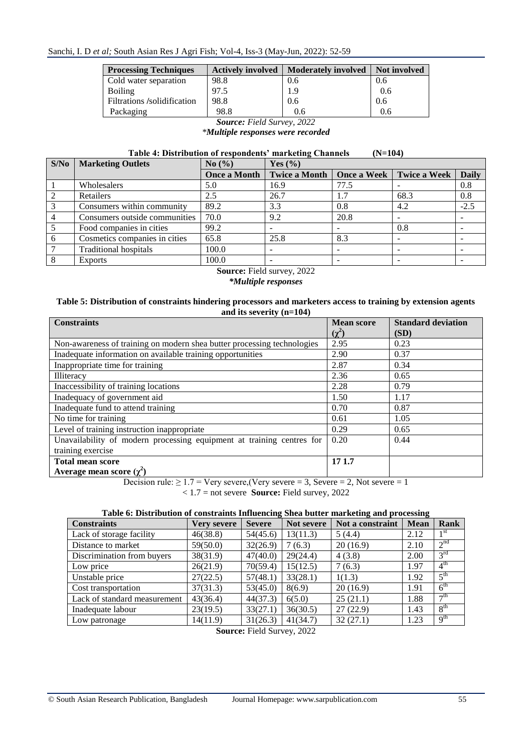Sanchi, I. D *et al;* South Asian Res J Agri Fish; Vol-4, Iss-3 (May-Jun, 2022): 52-59

| <b>Actively involved</b> | <b>Moderately involved</b> | Not involved |
|--------------------------|----------------------------|--------------|
| 98.8                     | 0.6                        | 0.6          |
| 97.5                     | 1.9                        | 0.6          |
| 98.8                     | 0.6                        | 0.6          |
| 98.8                     | 0.6                        | 0.6          |
|                          |                            |              |

*Source: Field Survey, 2022 \*Multiple responses were recorded*

|--|

| S/No | <b>Marketing Outlets</b>      | No $\left(\frac{0}{0}\right)$ | Yes $(\% )$          |      |                          |              |
|------|-------------------------------|-------------------------------|----------------------|------|--------------------------|--------------|
|      |                               | <b>Once a Month</b>           | <b>Twice a Month</b> |      | Once a Week Twice a Week | <b>Daily</b> |
|      | Wholesalers                   | 5.0                           | 16.9                 | 77.5 |                          | 0.8          |
|      | Retailers                     | 2.5                           | 26.7                 | 1.7  | 68.3                     | 0.8          |
| 3    | Consumers within community    | 89.2                          | 3.3                  | 0.8  | 4.2                      | $-2.5$       |
|      | Consumers outside communities | 70.0                          | 9.2                  | 20.8 |                          |              |
|      | Food companies in cities      | 99.2                          |                      |      | 0.8                      |              |
| 6    | Cosmetics companies in cities | 65.8                          | 25.8                 | 8.3  |                          |              |
|      | <b>Traditional hospitals</b>  | 100.0                         |                      |      |                          |              |
|      | <b>Exports</b>                | 100.0                         |                      | -    |                          |              |
|      |                               |                               |                      |      |                          |              |

**Source:** Field survey, 2022 *\*Multiple responses*

### **Table 5: Distribution of constraints hindering processors and marketers access to training by extension agents and its severity (n=104)**

| <b>Constraints</b>                                                      | <b>Mean score</b> | <b>Standard deviation</b> |
|-------------------------------------------------------------------------|-------------------|---------------------------|
|                                                                         | $(\chi^2)$        | (SD)                      |
| Non-awareness of training on modern shea butter processing technologies | 2.95              | 0.23                      |
| Inadequate information on available training opportunities              | 2.90              | 0.37                      |
| Inappropriate time for training                                         | 2.87              | 0.34                      |
| Illiteracy                                                              | 2.36              | 0.65                      |
| Inaccessibility of training locations                                   | 2.28              | 0.79                      |
| Inadequacy of government aid                                            | 1.50              | 1.17                      |
| Inadequate fund to attend training                                      | 0.70              | 0.87                      |
| No time for training                                                    | 0.61              | 1.05                      |
| Level of training instruction inappropriate                             | 0.29              | 0.65                      |
| Unavailability of modern processing equipment at training centres for   | 0.20              | 0.44                      |
| training exercise                                                       |                   |                           |
| <b>Total mean score</b>                                                 | 17 1.7            |                           |
| Average mean score $(\chi^2)$                                           |                   |                           |

Decision rule:  $\geq 1.7$  = Very severe, (Very severe = 3, Severe = 2, Not severe = 1

< 1.7 = not severe **Source:** Field survey, 2022

## **Table 6: Distribution of constraints Influencing Shea butter marketing and processing**

| <b>Constraints</b>           | Verv severe | <b>Severe</b> | Not severe | Not a constraint | <b>Mean</b> | Rank                       |
|------------------------------|-------------|---------------|------------|------------------|-------------|----------------------------|
| Lack of storage facility     | 46(38.8)    | 54(45.6)      | 13(11.3)   | 5(4.4)           | 2.12        | $1^{\rm st}$               |
| Distance to market           | 59(50.0)    | 32(26.9)      | 7(6.3)     | 20(16.9)         | 2.10        | 2 <sup>nd</sup>            |
| Discrimination from buyers   | 38(31.9)    | 47(40.0)      | 29(24.4)   | 4(3.8)           | 2.00        | 3 <sup>rd</sup>            |
| Low price                    | 26(21.9)    | 70(59.4)      | 15(12.5)   | 7(6.3)           | 1.97        | $\overline{4}^{\text{th}}$ |
| Unstable price               | 27(22.5)    | 57(48.1)      | 33(28.1)   | 1(1.3)           | 1.92        | 5 <sup>th</sup>            |
| Cost transportation          | 37(31.3)    | 53(45.0)      | 8(6.9)     | 20(16.9)         | 1.91        | 6 <sup>th</sup>            |
| Lack of standard measurement | 43(36.4)    | 44(37.3)      | 6(5.0)     | 25(21.1)         | 1.88        | $\tau$ <sup>th</sup>       |
| Inadequate labour            | 23(19.5)    | 33(27.1)      | 36(30.5)   | 27(22.9)         | 1.43        | 8 <sup>th</sup>            |
| Low patronage                | 14(11.9)    | 31(26.3)      | 41(34.7)   | 32(27.1)         | 1.23        | 9 <sup>th</sup>            |

**Source:** Field Survey, 2022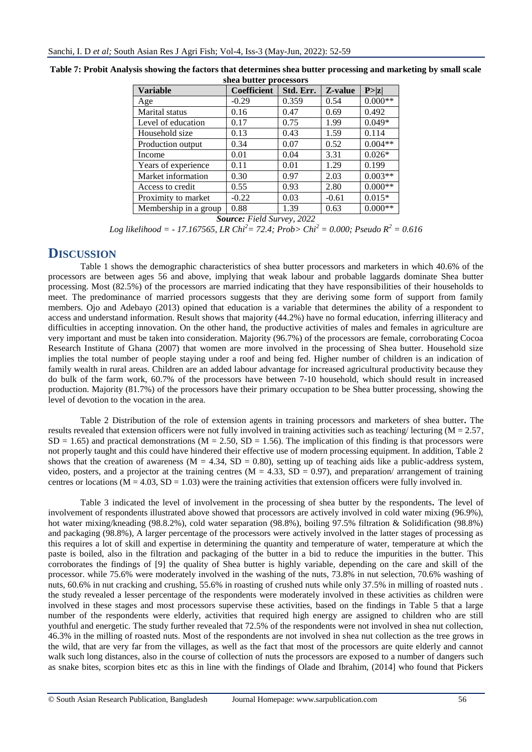| <b>Variable</b>       | <b>Coefficient</b> | Std. Err. | Z-value | P >  z    |
|-----------------------|--------------------|-----------|---------|-----------|
| Age                   | $-0.29$            | 0.359     | 0.54    | $0.000**$ |
| Marital status        | 0.16               | 0.47      | 0.69    | 0.492     |
| Level of education    | 0.17               | 0.75      | 1.99    | $0.049*$  |
| Household size        | 0.13               | 0.43      | 1.59    | 0.114     |
| Production output     | 0.34               | 0.07      | 0.52    | $0.004**$ |
| Income                | 0.01               | 0.04      | 3.31    | $0.026*$  |
| Years of experience   | 0.11               | 0.01      | 1.29    | 0.199     |
| Market information    | 0.30               | 0.97      | 2.03    | $0.003**$ |
| Access to credit      | 0.55               | 0.93      | 2.80    | $0.000**$ |
| Proximity to market   | $-0.22$            | 0.03      | $-0.61$ | $0.015*$  |
| Membership in a group | 0.88               | 1.39      | 0.63    | $0.000**$ |

**Table 7: Probit Analysis showing the factors that determines shea butter processing and marketing by small scale shea butter processors**

*Source: Field Survey, 2022*

*Log likelihood = - 17.167565, LR Chi<sup>2</sup>= 72.4; Prob> Chi<sup>2</sup> = 0.000; Pseudo R<sup>2</sup> = 0.616*

## **DISCUSSION**

Table 1 shows the demographic characteristics of shea butter processors and marketers in which 40.6% of the processors are between ages 56 and above, implying that weak labour and probable laggards dominate Shea butter processing. Most (82.5%) of the processors are married indicating that they have responsibilities of their households to meet. The predominance of married processors suggests that they are deriving some form of support from family members. Ojo and Adebayo (2013) opined that education is a variable that determines the ability of a respondent to access and understand information. Result shows that majority (44.2%) have no formal education, inferring illiteracy and difficulties in accepting innovation. On the other hand, the productive activities of males and females in agriculture are very important and must be taken into consideration. Majority (96.7%) of the processors are female, corroborating Cocoa Research Institute of Ghana (2007) that women are more involved in the processing of Shea butter. Household size implies the total number of people staying under a roof and being fed. Higher number of children is an indication of family wealth in rural areas. Children are an added labour advantage for increased agricultural productivity because they do bulk of the farm work, 60.7% of the processors have between 7-10 household, which should result in increased production. Majority (81.7%) of the processors have their primary occupation to be Shea butter processing, showing the level of devotion to the vocation in the area.

Table 2 Distribution of the role of extension agents in training processors and marketers of shea butter**.** The results revealed that extension officers were not fully involved in training activities such as teaching/ lecturing ( $M = 2.57$ ,  $SD = 1.65$ ) and practical demonstrations (M = 2.50, SD = 1.56). The implication of this finding is that processors were not properly taught and this could have hindered their effective use of modern processing equipment. In addition, Table 2 shows that the creation of awareness ( $M = 4.34$ ,  $SD = 0.80$ ), setting up of teaching aids like a public-address system, video, posters, and a projector at the training centres ( $M = 4.33$ ,  $SD = 0.97$ ), and preparation/ arrangement of training centres or locations  $(M = 4.03, SD = 1.03)$  were the training activities that extension officers were fully involved in.

Table 3 indicated the level of involvement in the processing of shea butter by the respondents**.** The level of involvement of respondents illustrated above showed that processors are actively involved in cold water mixing (96.9%), hot water mixing/kneading (98.8.2%), cold water separation (98.8%), boiling 97.5% filtration & Solidification (98.8%) and packaging (98.8%), A larger percentage of the processors were actively involved in the latter stages of processing as this requires a lot of skill and expertise in determining the quantity and temperature of water, temperature at which the paste is boiled, also in the filtration and packaging of the butter in a bid to reduce the impurities in the butter. This corroborates the findings of [9] the quality of Shea butter is highly variable, depending on the care and skill of the processor. while 75.6% were moderately involved in the washing of the nuts, 73.8% in nut selection, 70.6% washing of nuts, 60.6% in nut cracking and crushing, 55.6% in roasting of crushed nuts while only 37.5% in milling of roasted nuts . the study revealed a lesser percentage of the respondents were moderately involved in these activities as children were involved in these stages and most processors supervise these activities, based on the findings in Table 5 that a large number of the respondents were elderly, activities that required high energy are assigned to children who are still youthful and energetic. The study further revealed that 72.5% of the respondents were not involved in shea nut collection, 46.3% in the milling of roasted nuts. Most of the respondents are not involved in shea nut collection as the tree grows in the wild, that are very far from the villages, as well as the fact that most of the processors are quite elderly and cannot walk such long distances, also in the course of collection of nuts the processors are exposed to a number of dangers such as snake bites, scorpion bites etc as this in line with the findings of Olade and Ibrahim, (2014] who found that Pickers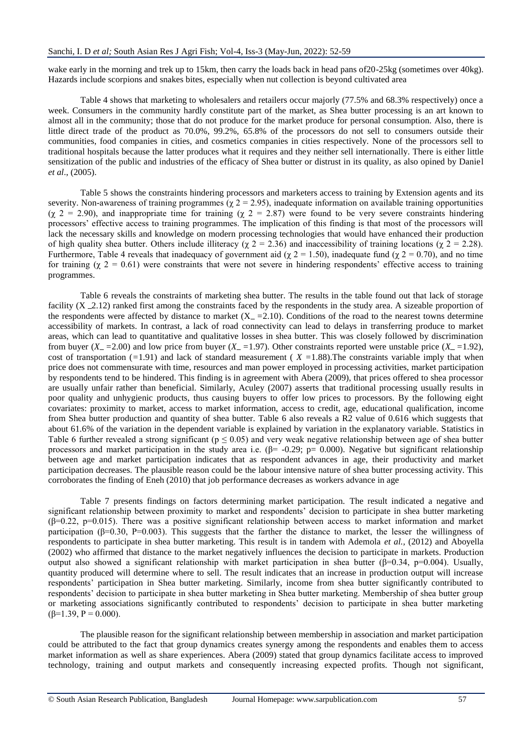wake early in the morning and trek up to 15km, then carry the loads back in head pans of 20-25kg (sometimes over 40kg). Hazards include scorpions and snakes bites, especially when nut collection is beyond cultivated area

Table 4 shows that marketing to wholesalers and retailers occur majorly (77.5% and 68.3% respectively) once a week. Consumers in the community hardly constitute part of the market, as Shea butter processing is an art known to almost all in the community; those that do not produce for the market produce for personal consumption. Also, there is little direct trade of the product as 70.0%, 99.2%, 65.8% of the processors do not sell to consumers outside their communities, food companies in cities, and cosmetics companies in cities respectively. None of the processors sell to traditional hospitals because the latter produces what it requires and they neither sell internationally. There is either little sensitization of the public and industries of the efficacy of Shea butter or distrust in its quality, as also opined by Daniel *et al*., (2005).

Table 5 shows the constraints hindering processors and marketers access to training by Extension agents and its severity. Non-awareness of training programmes ( $\chi$  2 = 2.95), inadequate information on available training opportunities ( $\chi$  2 = 2.90), and inappropriate time for training ( $\chi$  2 = 2.87) were found to be very severe constraints hindering processors' effective access to training programmes. The implication of this finding is that most of the processors will lack the necessary skills and knowledge on modern processing technologies that would have enhanced their production of high quality shea butter. Others include illiteracy ( $\chi$  2 = 2.36) and inaccessibility of training locations ( $\chi$  2 = 2.28). Furthermore, Table 4 reveals that inadequacy of government aid ( $\chi$  2 = 1.50), inadequate fund ( $\chi$  2 = 0.70), and no time for training (χ 2 = 0.61) were constraints that were not severe in hindering respondents' effective access to training programmes.

Table 6 reveals the constraints of marketing shea butter. The results in the table found out that lack of storage facility  $(X_2.12)$  ranked first among the constraints faced by the respondents in the study area. A sizeable proportion of the respondents were affected by distance to market  $(X = 2.10)$ . Conditions of the road to the nearest towns determine accessibility of markets. In contrast, a lack of road connectivity can lead to delays in transferring produce to market areas, which can lead to quantitative and qualitative losses in shea butter. This was closely followed by discrimination from buyer  $(X = 2.00)$  and low price from buyer  $(X = 1.97)$ . Other constraints reported were unstable price  $(X = 1.92)$ , cost of transportation  $(-1.91)$  and lack of standard measurement ( $X = 1.88$ ). The constraints variable imply that when price does not commensurate with time, resources and man power employed in processing activities, market participation by respondents tend to be hindered. This finding is in agreement with Abera (2009), that prices offered to shea processor are usually unfair rather than beneficial. Similarly, Aculey (2007) asserts that traditional processing usually results in poor quality and unhygienic products, thus causing buyers to offer low prices to processors. By the following eight covariates: proximity to market, access to market information, access to credit, age, educational qualification, income from Shea butter production and quantity of shea butter. Table 6 also reveals a R2 value of 0.616 which suggests that about 61.6% of the variation in the dependent variable is explained by variation in the explanatory variable. Statistics in Table 6 further revealed a strong significant ( $p \le 0.05$ ) and very weak negative relationship between age of shea butter processors and market participation in the study area i.e.  $(\beta = -0.29; p = 0.000)$ . Negative but significant relationship between age and market participation indicates that as respondent advances in age, their productivity and market participation decreases. The plausible reason could be the labour intensive nature of shea butter processing activity. This corroborates the finding of Eneh (2010) that job performance decreases as workers advance in age

Table 7 presents findings on factors determining market participation. The result indicated a negative and significant relationship between proximity to market and respondents' decision to participate in shea butter marketing  $(\beta=0.22, p=0.015)$ . There was a positive significant relationship between access to market information and market participation ( $\beta$ =0.30, P=0.003). This suggests that the farther the distance to market, the lesser the willingness of respondents to participate in shea butter marketing. This result is in tandem with Ademola *et al.,* (2012) and Aboyella (2002) who affirmed that distance to the market negatively influences the decision to participate in markets. Production output also showed a significant relationship with market participation in shea butter (β=0.34, p=0.004). Usually, quantity produced will determine where to sell. The result indicates that an increase in production output will increase respondents' participation in Shea butter marketing. Similarly, income from shea butter significantly contributed to respondents' decision to participate in shea butter marketing in Shea butter marketing. Membership of shea butter group or marketing associations significantly contributed to respondents' decision to participate in shea butter marketing  $(\beta=1.39, P=0.000).$ 

The plausible reason for the significant relationship between membership in association and market participation could be attributed to the fact that group dynamics creates synergy among the respondents and enables them to access market information as well as share experiences. Abera (2009) stated that group dynamics facilitate access to improved technology, training and output markets and consequently increasing expected profits. Though not significant,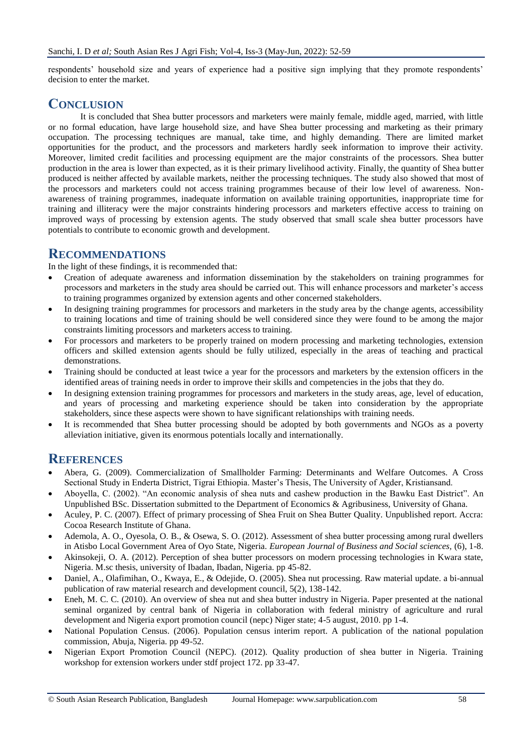respondents' household size and years of experience had a positive sign implying that they promote respondents' decision to enter the market.

## **CONCLUSION**

It is concluded that Shea butter processors and marketers were mainly female, middle aged, married, with little or no formal education, have large household size, and have Shea butter processing and marketing as their primary occupation. The processing techniques are manual, take time, and highly demanding. There are limited market opportunities for the product, and the processors and marketers hardly seek information to improve their activity. Moreover, limited credit facilities and processing equipment are the major constraints of the processors. Shea butter production in the area is lower than expected, as it is their primary livelihood activity. Finally, the quantity of Shea butter produced is neither affected by available markets, neither the processing techniques. The study also showed that most of the processors and marketers could not access training programmes because of their low level of awareness. Nonawareness of training programmes, inadequate information on available training opportunities, inappropriate time for training and illiteracy were the major constraints hindering processors and marketers effective access to training on improved ways of processing by extension agents. The study observed that small scale shea butter processors have potentials to contribute to economic growth and development.

## **RECOMMENDATIONS**

In the light of these findings, it is recommended that:

- Creation of adequate awareness and information dissemination by the stakeholders on training programmes for processors and marketers in the study area should be carried out. This will enhance processors and marketer's access to training programmes organized by extension agents and other concerned stakeholders.
- In designing training programmes for processors and marketers in the study area by the change agents, accessibility to training locations and time of training should be well considered since they were found to be among the major constraints limiting processors and marketers access to training.
- For processors and marketers to be properly trained on modern processing and marketing technologies, extension officers and skilled extension agents should be fully utilized, especially in the areas of teaching and practical demonstrations.
- Training should be conducted at least twice a year for the processors and marketers by the extension officers in the identified areas of training needs in order to improve their skills and competencies in the jobs that they do.
- In designing extension training programmes for processors and marketers in the study areas, age, level of education, and years of processing and marketing experience should be taken into consideration by the appropriate stakeholders, since these aspects were shown to have significant relationships with training needs.
- It is recommended that Shea butter processing should be adopted by both governments and NGOs as a poverty alleviation initiative, given its enormous potentials locally and internationally.

## **REFERENCES**

- Abera, G. (2009). Commercialization of Smallholder Farming: Determinants and Welfare Outcomes. A Cross Sectional Study in Enderta District, Tigrai Ethiopia. Master's Thesis, The University of Agder, Kristiansand.
- Aboyella, C. (2002). "An economic analysis of shea nuts and cashew production in the Bawku East District". An Unpublished BSc. Dissertation submitted to the Department of Economics & Agribusiness, University of Ghana.
- Aculey, P. C. (2007). Effect of primary processing of Shea Fruit on Shea Butter Quality. Unpublished report. Accra: Cocoa Research Institute of Ghana.
- Ademola, A. O., Oyesola, O. B., & Osewa, S. O. (2012). Assessment of shea butter processing among rural dwellers in Atisbo Local Government Area of Oyo State, Nigeria. *European Journal of Business and Social sciences,* (6), 1-8.
- Akinsokeji, O. A. (2012). Perception of shea butter processors on modern processing technologies in Kwara state, Nigeria. M.sc thesis, university of Ibadan, Ibadan, Nigeria. pp 45-82.
- Daniel, A., Olafimihan, O., Kwaya, E., & Odejide, O. (2005). Shea nut processing. Raw material update. a bi-annual publication of raw material research and development council, 5(2), 138-142.
- Eneh, M. C. C. (2010). An overview of shea nut and shea butter industry in Nigeria. Paper presented at the national seminal organized by central bank of Nigeria in collaboration with federal ministry of agriculture and rural development and Nigeria export promotion council (nepc) Niger state; 4-5 august, 2010. pp 1-4.
- National Population Census. (2006). Population census interim report. A publication of the national population commission, Abuja, Nigeria. pp 49-52.
- Nigerian Export Promotion Council (NEPC). (2012). Quality production of shea butter in Nigeria. Training workshop for extension workers under stdf project 172. pp 33-47.